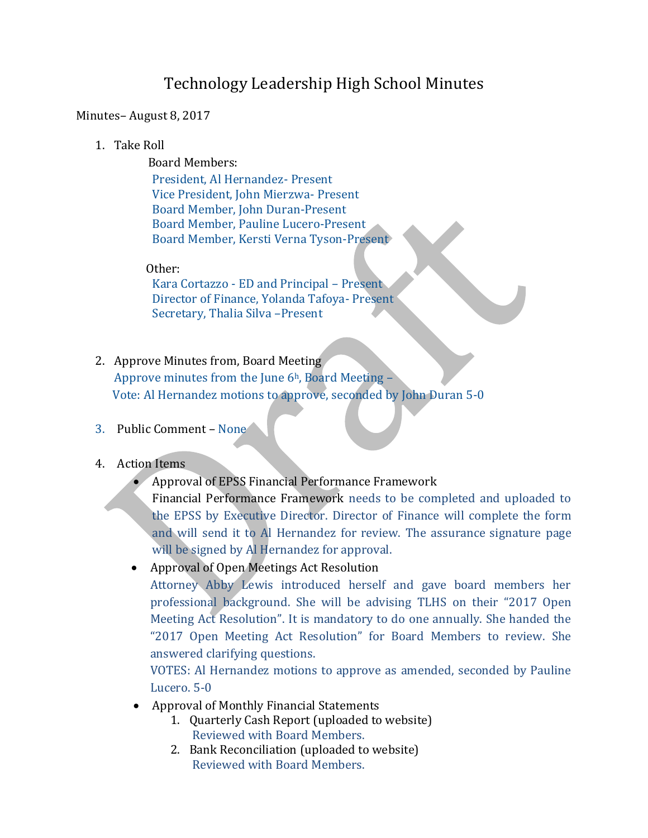# Technology Leadership High School Minutes

#### Minutes– August 8, 2017

1. Take Roll

 Board Members: President, Al Hernandez- Present Vice President, John Mierzwa- Present Board Member, John Duran-Present Board Member, Pauline Lucero-Present

#### Other:

Kara Cortazzo - ED and Principal – Present Director of Finance, Yolanda Tafoya- Present Secretary, Thalia Silva –Present

Board Member, Kersti Verna Tyson-Present

- 2. Approve Minutes from, Board Meeting Approve minutes from the June  $6<sup>h</sup>$ , Board Meeting – Vote: Al Hernandez motions to approve, seconded by John Duran 5-0
- 3. Public Comment None

#### 4. Action Items

• Approval of EPSS Financial Performance Framework

Financial Performance Framework needs to be completed and uploaded to the EPSS by Executive Director. Director of Finance will complete the form and will send it to Al Hernandez for review. The assurance signature page will be signed by Al Hernandez for approval.

• Approval of Open Meetings Act Resolution

Attorney Abby Lewis introduced herself and gave board members her professional background. She will be advising TLHS on their "2017 Open Meeting Act Resolution". It is mandatory to do one annually. She handed the "2017 Open Meeting Act Resolution" for Board Members to review. She answered clarifying questions.

VOTES: Al Hernandez motions to approve as amended, seconded by Pauline Lucero. 5-0

- Approval of Monthly Financial Statements
	- 1. Quarterly Cash Report (uploaded to website) Reviewed with Board Members.
	- 2. Bank Reconciliation (uploaded to website) Reviewed with Board Members.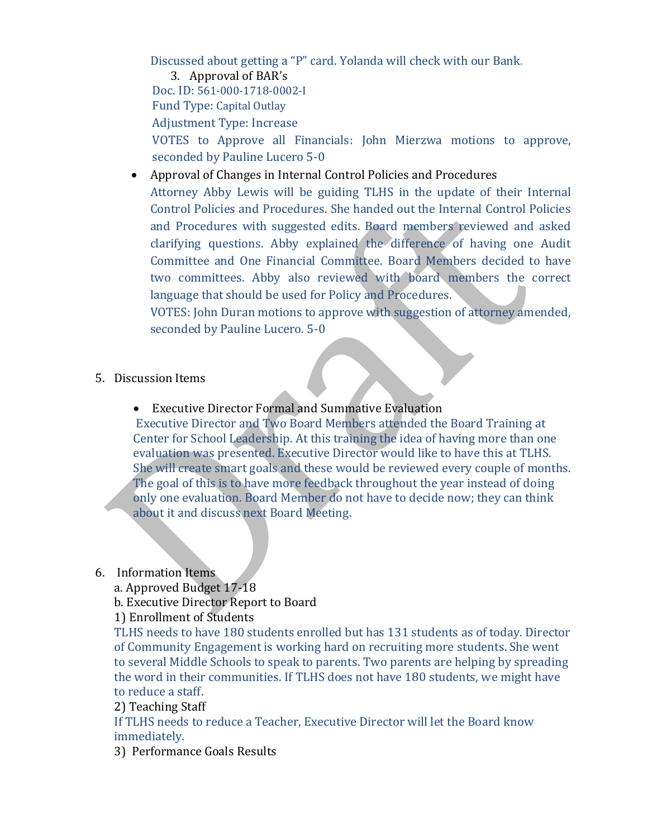Discussed about getting a "P" card. Yolanda will check with our Bank.

3. Approval of BAR's

Doc. ID: 561-000-1718-0002-I

Fund Type: Capital Outlay

Adjustment Type: Increase

VOTES to Approve all Financials: John Mierzwa motions to approve, seconded by Pauline Lucero 5-0

• Approval of Changes in Internal Control Policies and Procedures

Attorney Abby Lewis will be guiding TLHS in the update of their Internal Control Policies and Procedures. She handed out the Internal Control Policies and Procedures with suggested edits. Board members reviewed and asked clarifying questions. Abby explained the difference of having one Audit Committee and One Financial Committee. Board Members decided to have two committees. Abby also reviewed with board members the correct language that should be used for Policy and Procedures.

VOTES: John Duran motions to approve with suggestion of attorney amended, seconded by Pauline Lucero. 5-0

## 5. Discussion Items

• Executive Director Formal and Summative Evaluation

Executive Director and Two Board Members attended the Board Training at Center for School Leadership. At this training the idea of having more than one evaluation was presented. Executive Director would like to have this at TLHS. She will create smart goals and these would be reviewed every couple of months. The goal of this is to have more feedback throughout the year instead of doing only one evaluation. Board Member do not have to decide now; they can think about it and discuss next Board Meeting.

### 6. Information Items

a. Approved Budget 17-18

b. Executive Director Report to Board

1) Enrollment of Students

TLHS needs to have 180 students enrolled but has 131 students as of today. Director of Community Engagement is working hard on recruiting more students. She went to several Middle Schools to speak to parents. Two parents are helping by spreading the word in their communities. If TLHS does not have 180 students, we might have to reduce a staff.

2) Teaching Staff

If TLHS needs to reduce a Teacher, Executive Director will let the Board know immediately.

3) Performance Goals Results